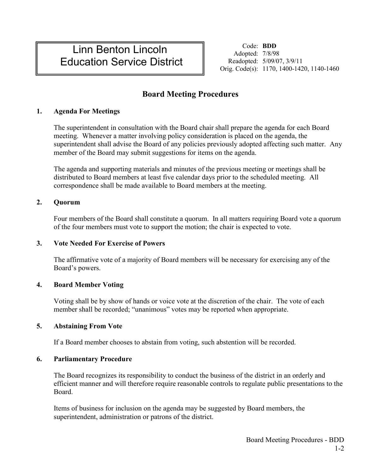# Linn Benton Lincoln Education Service District

Code: **BDD** Adopted: 7/8/98 Readopted: 5/09/07, 3/9/11 Orig. Code(s): 1170, 1400-1420, 1140-1460

## **Board Meeting Procedures**

## **1. Agenda For Meetings**

The superintendent in consultation with the Board chair shall prepare the agenda for each Board meeting. Whenever a matter involving policy consideration is placed on the agenda, the superintendent shall advise the Board of any policies previously adopted affecting such matter. Any member of the Board may submit suggestions for items on the agenda.

The agenda and supporting materials and minutes of the previous meeting or meetings shall be distributed to Board members at least five calendar days prior to the scheduled meeting. All correspondence shall be made available to Board members at the meeting.

## **2. Quorum**

Four members of the Board shall constitute a quorum. In all matters requiring Board vote a quorum of the four members must vote to support the motion; the chair is expected to vote.

### **3. Vote Needed For Exercise of Powers**

The affirmative vote of a majority of Board members will be necessary for exercising any of the Board's powers.

## **4. Board Member Voting**

Voting shall be by show of hands or voice vote at the discretion of the chair. The vote of each member shall be recorded; "unanimous" votes may be reported when appropriate.

### **5. Abstaining From Vote**

If a Board member chooses to abstain from voting, such abstention will be recorded.

## **6. Parliamentary Procedure**

The Board recognizes its responsibility to conduct the business of the district in an orderly and efficient manner and will therefore require reasonable controls to regulate public presentations to the Board.

Items of business for inclusion on the agenda may be suggested by Board members, the superintendent, administration or patrons of the district.